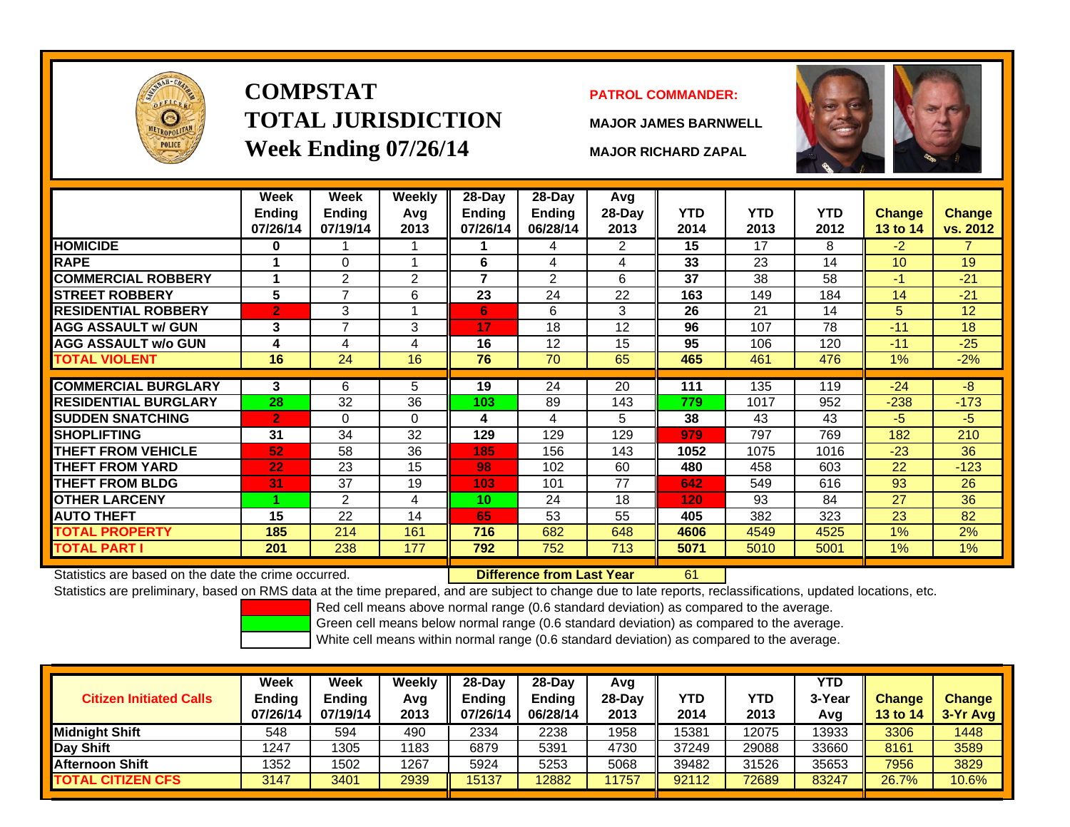

# **COMPSTATTOTAL JURISDICTIONWeek Ending 07/26/14 MAJOR RICHARD ZAPAL**

## **PATROL COMMANDER:**

**MAJOR JAMES BARNWELL**

61



|                             | Week<br><b>Ending</b><br>07/26/14 | Week<br><b>Ending</b><br>07/19/14 | Weekly<br>Avg<br>2013 | 28-Day<br><b>Ending</b><br>07/26/14 | 28-Day<br><b>Ending</b><br>06/28/14 | Avg<br>28-Day<br>2013 | <b>YTD</b><br>2014 | <b>YTD</b><br>2013 | <b>YTD</b><br>2012 | <b>Change</b><br><b>13 to 14</b> | <b>Change</b><br>vs. 2012 |
|-----------------------------|-----------------------------------|-----------------------------------|-----------------------|-------------------------------------|-------------------------------------|-----------------------|--------------------|--------------------|--------------------|----------------------------------|---------------------------|
| <b>HOMICIDE</b>             | 0                                 |                                   |                       |                                     | 4                                   | 2                     | 15                 | 17                 | 8                  | $-2$                             | 7.                        |
| <b>RAPE</b>                 |                                   | $\Omega$                          | и                     | 6                                   | 4                                   | 4                     | 33                 | 23                 | 14                 | 10                               | 19                        |
| <b>COMMERCIAL ROBBERY</b>   |                                   | $\overline{2}$                    | $\overline{2}$        | $\overline{\phantom{a}}$            | $\overline{2}$                      | 6                     | 37                 | 38                 | 58                 | $-1$                             | $-21$                     |
| <b>STREET ROBBERY</b>       | 5                                 | $\overline{7}$                    | 6                     | 23                                  | 24                                  | 22                    | 163                | 149                | 184                | 14                               | $-21$                     |
| <b>RESIDENTIAL ROBBERY</b>  | $\overline{2}$                    | 3                                 |                       | 6                                   | 6                                   | 3                     | 26                 | 21                 | 14                 | 5                                | 12                        |
| <b>AGG ASSAULT w/ GUN</b>   | 3                                 | 7                                 | 3                     | 17                                  | 18                                  | 12                    | 96                 | 107                | 78                 | $-11$                            | 18                        |
| <b>AGG ASSAULT w/o GUN</b>  | 4                                 | 4                                 | 4                     | 16                                  | 12                                  | 15                    | 95                 | 106                | 120                | $-11$                            | $-25$                     |
| <b>TOTAL VIOLENT</b>        | 16                                | 24                                | 16                    | 76                                  | 70                                  | 65                    | 465                | 461                | 476                | 1%                               | $-2%$                     |
|                             |                                   |                                   |                       |                                     |                                     |                       |                    |                    |                    |                                  |                           |
| <b>COMMERCIAL BURGLARY</b>  | 3                                 | 6                                 | 5                     | 19                                  | 24                                  | 20                    | 111                | 135                | 119                | $-24$                            | -8                        |
| <b>RESIDENTIAL BURGLARY</b> | 28                                | 32                                | 36                    | 103                                 | 89                                  | 143                   | 779                | 1017               | 952                | $-238$                           | $-173$                    |
| <b>SUDDEN SNATCHING</b>     | $\overline{2}$                    | $\Omega$                          | $\Omega$              | 4                                   | 4                                   | 5                     | 38                 | 43                 | 43                 | $-5$                             | -5                        |
| <b>SHOPLIFTING</b>          | 31                                | 34                                | 32                    | 129                                 | 129                                 | 129                   | 979                | 797                | 769                | 182                              | 210                       |
| <b>THEFT FROM VEHICLE</b>   | 52                                | 58                                | 36                    | 185                                 | 156                                 | 143                   | 1052               | 1075               | 1016               | $-23$                            | 36                        |
| <b>THEFT FROM YARD</b>      | 22                                | 23                                | 15                    | 98                                  | 102                                 | 60                    | 480                | 458                | 603                | 22                               | $-123$                    |
| <b>THEFT FROM BLDG</b>      | 31                                | 37                                | 19                    | 103                                 | 101                                 | 77                    | 642                | 549                | 616                | 93                               | 26                        |
| <b>OTHER LARCENY</b>        | и                                 | $\overline{2}$                    | 4                     | 10                                  | 24                                  | 18                    | 120                | 93                 | 84                 | 27                               | 36                        |
| <b>AUTO THEFT</b>           | 15                                | 22                                | 14                    | 65                                  | 53                                  | 55                    | 405                | 382                | 323                | 23                               | 82                        |
| TOTAL PROPERTY              | 185                               | 214                               | 161                   | 716                                 | 682                                 | 648                   | 4606               | 4549               | 4525               | $1\%$                            | 2%                        |
| <b>TOTAL PART I</b>         | 201                               | 238                               | 177                   | 792                                 | 752                                 | 713                   | 5071               | 5010               | 5001               | 1%                               | 1%                        |

Statistics are based on the date the crime occurred. **Difference from Last Year** 

Statistics are preliminary, based on RMS data at the time prepared, and are subject to change due to late reports, reclassifications, updated locations, etc.

Red cell means above normal range (0.6 standard deviation) as compared to the average.

Green cell means below normal range (0.6 standard deviation) as compared to the average.

| <b>Citizen Initiated Calls</b> | Week<br>Ending<br>07/26/14 | <b>Week</b><br><b>Ending</b><br>07/19/14 | Weekly<br>Avg<br>2013 | $28-Dav$<br><b>Ending</b><br>07/26/14 | 28-Day<br><b>Ending</b><br>06/28/14 | Avg<br>$28-Day$<br>2013 | <b>YTD</b><br>2014 | YTD<br>2013 | <b>YTD</b><br>3-Year<br>Avg | <b>Change</b><br><b>13 to 14</b> | <b>Change</b><br>3-Yr Avg |
|--------------------------------|----------------------------|------------------------------------------|-----------------------|---------------------------------------|-------------------------------------|-------------------------|--------------------|-------------|-----------------------------|----------------------------------|---------------------------|
| <b>Midnight Shift</b>          | 548                        | 594                                      | 490                   | 2334                                  | 2238                                | 1958                    | 15381              | 12075       | 13933                       | 3306                             | 1448                      |
| Day Shift                      | 1247                       | 1305                                     | 1183                  | 6879                                  | 5391                                | 4730                    | 37249              | 29088       | 33660                       | 8161                             | 3589                      |
| <b>Afternoon Shift</b>         | 1352                       | 1502                                     | 1267                  | 5924                                  | 5253                                | 5068                    | 39482              | 31526       | 35653                       | 7956                             | 3829                      |
| <b>TOTAL CITIZEN CFS</b>       | 3147                       | 3401                                     | 2939                  | 15137                                 | 12882                               | 1757                    | 92112              | 72689       | 83247                       | 26.7%                            | 10.6%                     |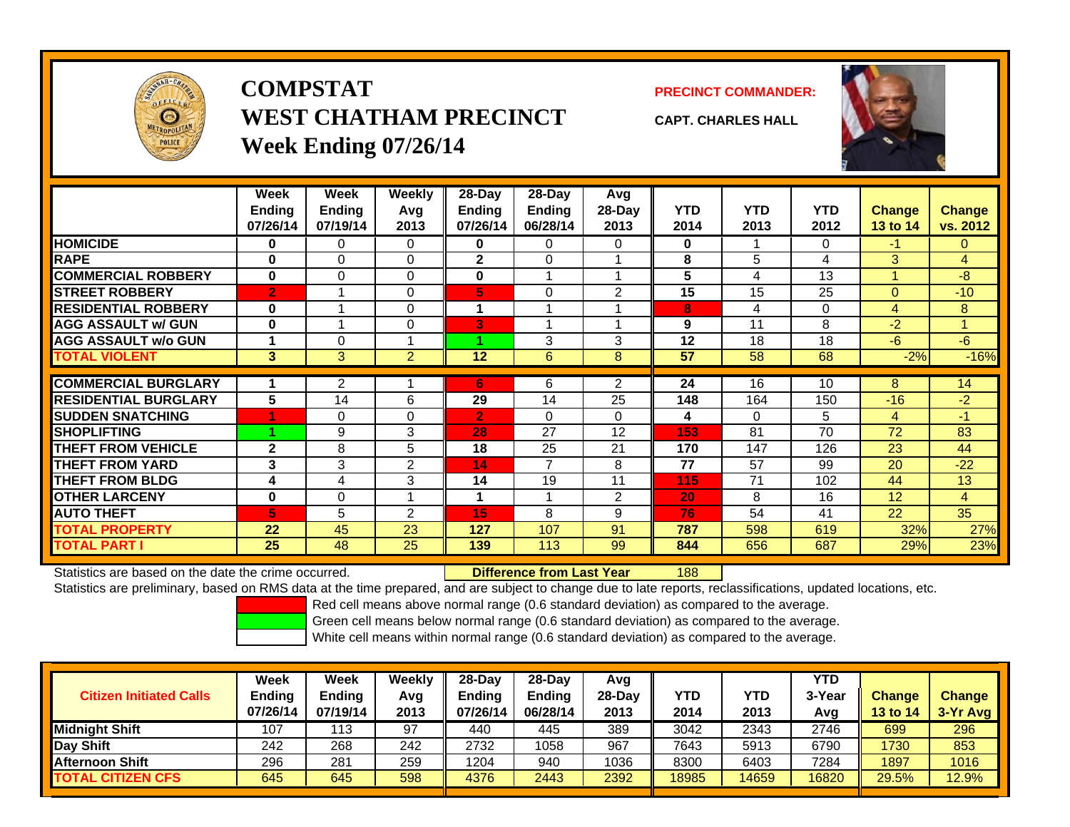

# **COMPSTATWEST CHATHAM PRECINCTWeek Ending 07/26/14**

**PRECINCT COMMANDER:**



**CAPT. CHARLES HALL**

|                             | Week<br><b>Ending</b><br>07/26/14 | Week<br><b>Ending</b><br>07/19/14 | Weekly<br>Avg<br>2013 | $28 - Day$<br><b>Ending</b><br>07/26/14 | 28-Day<br><b>Ending</b><br>06/28/14 | Avg<br>28-Day<br>2013 | <b>YTD</b><br>2014 | YTD.<br>2013 | <b>YTD</b><br>2012 | <b>Change</b><br>13 to 14 | <b>Change</b><br>vs. 2012 |
|-----------------------------|-----------------------------------|-----------------------------------|-----------------------|-----------------------------------------|-------------------------------------|-----------------------|--------------------|--------------|--------------------|---------------------------|---------------------------|
| <b>HOMICIDE</b>             | 0                                 | $\Omega$                          | 0                     | $\bf{0}$                                | 0                                   | $\Omega$              | 0                  |              | $\Omega$           | $-1$                      | $\Omega$                  |
| <b>RAPE</b>                 | $\bf{0}$                          | $\Omega$                          | 0                     | $\mathbf{2}$                            | 0                                   |                       | 8                  | 5            | 4                  | 3                         | $\overline{4}$            |
| <b>COMMERCIAL ROBBERY</b>   | $\bf{0}$                          | 0                                 | 0                     | $\bf{0}$                                |                                     | 1                     | 5                  | 4            | 13                 |                           | $-8$                      |
| <b>STREET ROBBERY</b>       | $\overline{2}$                    |                                   | 0                     | 5                                       | 0                                   | 2                     | 15                 | 15           | 25                 | $\Omega$                  | $-10$                     |
| <b>RESIDENTIAL ROBBERY</b>  | $\bf{0}$                          |                                   | 0                     | 1                                       |                                     |                       | 8                  | 4            | 0                  | 4                         | 8                         |
| <b>AGG ASSAULT w/ GUN</b>   | 0                                 | $\overline{\mathbf{A}}$           | 0                     | 3                                       |                                     | 1                     | 9                  | 11           | 8                  | $-2$                      | 4                         |
| <b>AGG ASSAULT w/o GUN</b>  |                                   | $\Omega$                          |                       |                                         | 3                                   | 3                     | 12                 | 18           | 18                 | -6                        | $-6$                      |
| <b>TOTAL VIOLENT</b>        | $\mathbf{3}$                      | 3                                 | $\overline{2}$        | 12                                      | 6                                   | 8                     | 57                 | 58           | 68                 | $-2%$                     | $-16%$                    |
|                             |                                   |                                   |                       |                                         |                                     |                       |                    |              |                    |                           |                           |
| <b>COMMERCIAL BURGLARY</b>  |                                   | 2                                 |                       | 6                                       | 6                                   | 2                     | 24                 | 16           | 10                 | 8                         | 14                        |
| <b>RESIDENTIAL BURGLARY</b> | 5                                 | 14                                | 6                     | 29                                      | 14                                  | 25                    | 148                | 164          | 150                | $-16$                     | $-2$                      |
| <b>SUDDEN SNATCHING</b>     |                                   | 0                                 | 0                     | $\overline{2}$                          | 0                                   | 0                     | 4                  | $\Omega$     | 5                  | 4                         | $-1$                      |
| <b>SHOPLIFTING</b>          |                                   | 9                                 | 3                     | 28                                      | 27                                  | 12                    | 153                | 81           | 70                 | 72                        | 83                        |
| <b>THEFT FROM VEHICLE</b>   | $\mathbf{2}$                      | 8                                 | 5                     | 18                                      | 25                                  | 21                    | 170                | 147          | 126                | 23                        | 44                        |
| <b>THEFT FROM YARD</b>      | 3                                 | 3                                 | $\overline{2}$        | 14                                      | $\overline{7}$                      | 8                     | 77                 | 57           | 99                 | 20                        | $-22$                     |
| <b>THEFT FROM BLDG</b>      | 4                                 | 4                                 | 3                     | 14                                      | 19                                  | 11                    | 115                | 71           | 102                | 44                        | 13                        |
| <b>OTHER LARCENY</b>        | $\bf{0}$                          | 0                                 |                       | 1                                       |                                     | 2                     | 20                 | 8            | 16                 | 12                        | 4                         |
| <b>AUTO THEFT</b>           | 5                                 | 5                                 | $\overline{2}$        | 15                                      | 8                                   | 9                     | 76                 | 54           | 41                 | 22                        | 35                        |
| <b>TOTAL PROPERTY</b>       | 22                                | 45                                | 23                    | 127                                     | 107                                 | 91                    | 787                | 598          | 619                | 32%                       | 27%                       |
| <b>TOTAL PART I</b>         | 25                                | 48                                | 25                    | 139                                     | 113                                 | 99                    | 844                | 656          | 687                | 29%                       | 23%                       |

Statistics are based on the date the crime occurred. **Difference from Last Year** 

188

Statistics are preliminary, based on RMS data at the time prepared, and are subject to change due to late reports, reclassifications, updated locations, etc.

Red cell means above normal range (0.6 standard deviation) as compared to the average.

Green cell means below normal range (0.6 standard deviation) as compared to the average.

| <b>Citizen Initiated Calls</b> | Week<br><b>Ending</b><br>07/26/14 | <b>Week</b><br><b>Ending</b><br>07/19/14 | Weekly<br>Avg<br>2013 | $28-Day$<br><b>Ending</b><br>07/26/14 | $28$ -Day<br><b>Ending</b><br>06/28/14 | Avg<br>28-Dav<br>2013 | YTD<br>2014 | YTD<br>2013 | YTD<br>3-Year<br>Avg | <b>Change</b><br>13 to 14 | <b>Change</b><br>3-Yr Avg |
|--------------------------------|-----------------------------------|------------------------------------------|-----------------------|---------------------------------------|----------------------------------------|-----------------------|-------------|-------------|----------------------|---------------------------|---------------------------|
| <b>Midnight Shift</b>          | 107                               | 113                                      | 97                    | 440                                   | 445                                    | 389                   | 3042        | 2343        | 2746                 | 699                       | 296                       |
| Day Shift                      | 242                               | 268                                      | 242                   | 2732                                  | 1058                                   | 967                   | 7643        | 5913        | 6790                 | 1730                      | 853                       |
| <b>Afternoon Shift</b>         | 296                               | 281                                      | 259                   | 1204                                  | 940                                    | 1036                  | 8300        | 6403        | 7284                 | 1897                      | 1016                      |
| <b>TOTAL CITIZEN CFS</b>       | 645                               | 645                                      | 598                   | 4376                                  | 2443                                   | 2392                  | 18985       | 14659       | 16820                | 29.5%                     | 12.9%                     |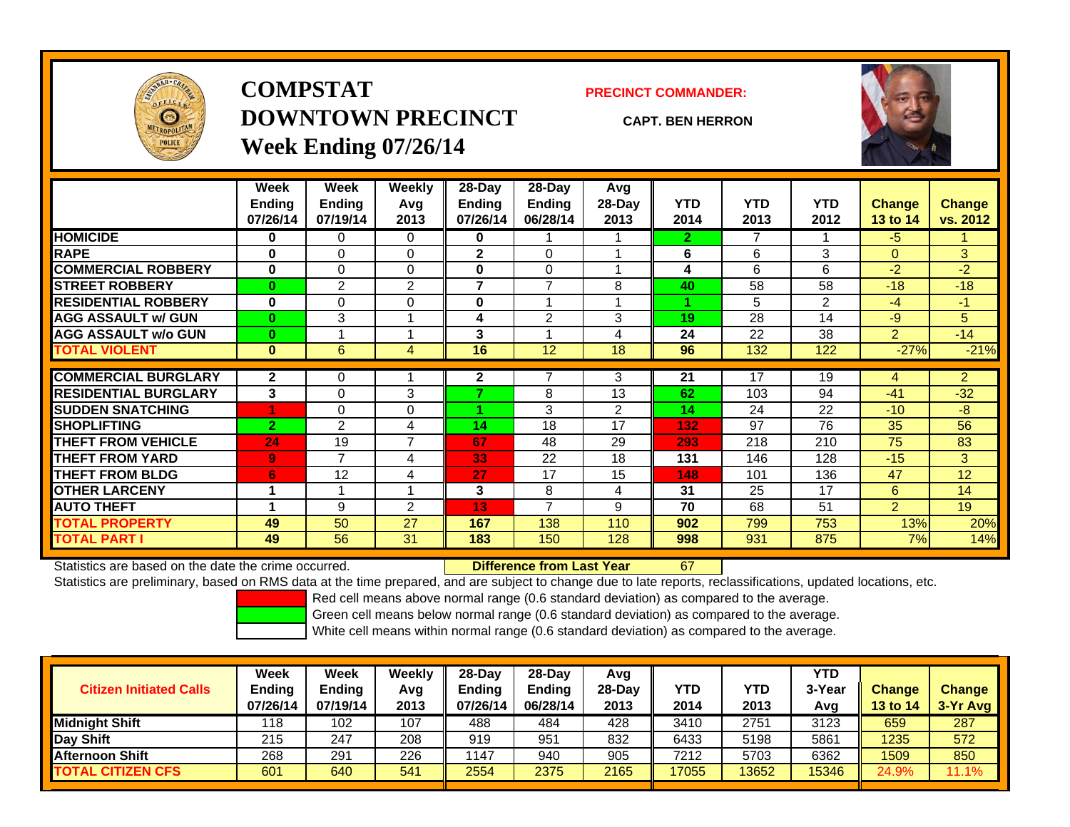

# **COMPSTATDOWNTOWN PRECINCTWeek Ending 07/26/14**

**PRECINCT COMMANDER:**

**CAPT. BEN HERRON**



|                             | Week<br><b>Ending</b> | Week<br><b>Ending</b> | Weekly<br>Avg  | $28$ -Day<br>Ending | 28-Day<br>Ending | Avg<br>28-Day | <b>YTD</b>   | <b>YTD</b>     | <b>YTD</b>     | Change         | <b>Change</b>  |
|-----------------------------|-----------------------|-----------------------|----------------|---------------------|------------------|---------------|--------------|----------------|----------------|----------------|----------------|
|                             | 07/26/14              | 07/19/14              | 2013           | 07/26/14            | 06/28/14         | 2013          | 2014         | 2013           | 2012           | 13 to 14       | vs. 2012       |
| <b>HOMICIDE</b>             | 0                     | $\Omega$              | 0              | 0                   |                  |               | $\mathbf{2}$ | $\overline{7}$ |                | $-5$           |                |
| <b>RAPE</b>                 | $\bf{0}$              | 0                     | 0              | $\mathbf{2}$        | 0                |               | 6            | 6              | 3              | $\Omega$       | 3 <sup>1</sup> |
| <b>COMMERCIAL ROBBERY</b>   | $\bf{0}$              | $\Omega$              | 0              | $\bf{0}$            | 0                |               | 4            | 6              | 6              | $-2$           | $-2$           |
| <b>ISTREET ROBBERY</b>      | $\bf{0}$              | 2                     | $\overline{2}$ | 7                   | 7                | 8             | 40           | 58             | 58             | $-18$          | $-18$          |
| <b>RESIDENTIAL ROBBERY</b>  | $\bf{0}$              | $\Omega$              | 0              | 0                   |                  |               |              | 5              | $\overline{2}$ | $-4$           | $-1$           |
| <b>AGG ASSAULT w/ GUN</b>   | $\bf{0}$              | 3                     |                | 4                   | $\overline{2}$   | 3             | 19           | 28             | 14             | $-9$           | 5.             |
| <b>AGG ASSAULT w/o GUN</b>  | $\bf{0}$              |                       |                | 3                   |                  | 4             | 24           | 22             | 38             | $\overline{2}$ | $-14$          |
| <b>TOTAL VIOLENT</b>        | $\bf{0}$              | 6                     | 4              | 16                  | 12               | 18            | 96           | 132            | 122            | $-27%$         | $-21%$         |
| <b>COMMERCIAL BURGLARY</b>  | $\mathbf{2}$          | 0                     |                | $\mathbf{2}$        |                  | 3             | 21           | 17             | 19             | 4              | $\overline{2}$ |
| <b>RESIDENTIAL BURGLARY</b> | 3                     | $\Omega$              | 3              | ⇁                   | 8                | 13            | 62           | 103            | 94             | $-41$          | $-32$          |
| <b>SUDDEN SNATCHING</b>     |                       | $\Omega$              | 0              |                     | 3                | 2             | 14           | 24             | 22             | $-10$          | $-8$           |
| <b>SHOPLIFTING</b>          | $\overline{2}$        | $\overline{2}$        | 4              | 14                  | 18               | 17            | 132          | 97             | 76             | 35             | 56             |
| <b>THEFT FROM VEHICLE</b>   | 24                    | 19                    | $\overline{7}$ | 67                  | 48               | 29            | 293          | 218            | 210            | 75             | 83             |
| <b>THEFT FROM YARD</b>      | 9                     | 7                     | 4              | 33                  | 22               | 18            | 131          | 146            | 128            | $-15$          | 3              |
| <b>THEFT FROM BLDG</b>      | 6                     | 12                    | 4              | 27                  | 17               | 15            | 148          | 101            | 136            | 47             | 12             |
| <b>OTHER LARCENY</b>        |                       |                       |                | 3                   | 8                | 4             | 31           | 25             | 17             | 6              | 14             |
| <b>AUTO THEFT</b>           |                       | 9                     | 2              | 13 <sub>1</sub>     | 7                | 9             | 70           | 68             | 51             | $\overline{2}$ | 19             |
| <b>TOTAL PROPERTY</b>       | 49                    | 50                    | 27             | 167                 | 138              | 110           | 902          | 799            | 753            | 13%            | 20%            |
| <b>TOTAL PART I</b>         | 49                    | 56                    | 31             | 183                 | 150              | 128           | 998          | 931            | 875            | 7%             | 14%            |

Statistics are based on the date the crime occurred. **Difference from Last Year** 

Statistics are preliminary, based on RMS data at the time prepared, and are subject to change due to late reports, reclassifications, updated locations, etc.

67

Red cell means above normal range (0.6 standard deviation) as compared to the average.

Green cell means below normal range (0.6 standard deviation) as compared to the average.

|                                | <b>Week</b>               | <b>Week</b>               | Weekly      | $28-Day$                  | 28-Dav                    | Avg            |             |             | YTD           |                           |                             |
|--------------------------------|---------------------------|---------------------------|-------------|---------------------------|---------------------------|----------------|-------------|-------------|---------------|---------------------------|-----------------------------|
| <b>Citizen Initiated Calls</b> | <b>Ending</b><br>07/26/14 | <b>Ending</b><br>07/19/14 | Avg<br>2013 | <b>Ending</b><br>07/26/14 | <b>Ending</b><br>06/28/14 | 28-Dav<br>2013 | YTD<br>2014 | YTD<br>2013 | 3-Year<br>Avg | <b>Change</b><br>13 to 14 | <b>Change</b><br>$3-Yr$ Avg |
| <b>Midnight Shift</b>          | 118                       | 102                       | 107         | 488                       | 484                       | 428            | 3410        | 2751        | 3123          | 659                       | 287                         |
| Day Shift                      | 215                       | 247                       | 208         | 919                       | 951                       | 832            | 6433        | 5198        | 5861          | 1235                      | 572                         |
| <b>Afternoon Shift</b>         | 268                       | 291                       | 226         | 147                       | 940                       | 905            | 7212        | 5703        | 6362          | 1509                      | 850                         |
| <b>TOTAL CITIZEN CFS</b>       | 601                       | 640                       | 541         | 2554                      | 2375                      | 2165           | 17055       | 13652       | 15346         | 24.9%                     | 11.1%                       |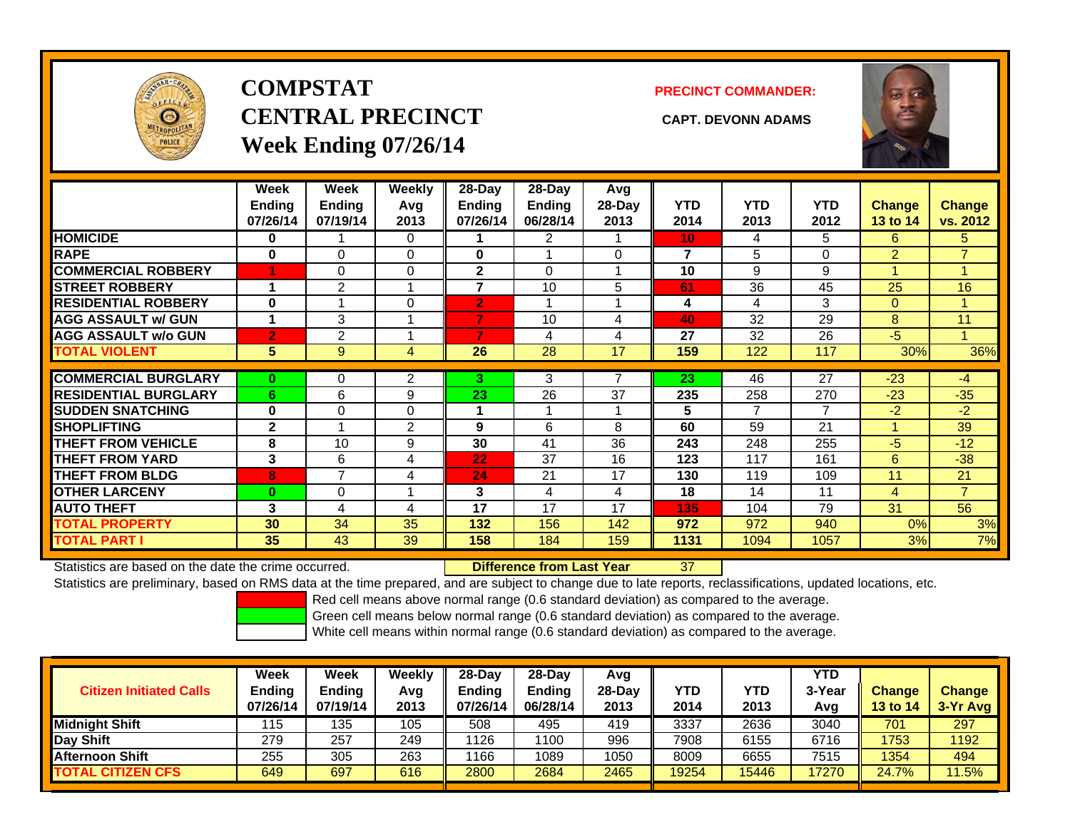

# **COMPSTATCENTRAL PRECINCT CAPT. DEVONN ADAMSWeek Ending 07/26/14**

**PRECINCT COMMANDER:**



|                             | Week<br><b>Endina</b><br>07/26/14 | Week<br>Ending<br>07/19/14 | <b>Weekly</b><br>Avg<br>2013 | 28-Day<br>Endina<br>07/26/14 | $28$ -Day<br><b>Endina</b><br>06/28/14 | Avg<br>$28-Day$<br>2013 | <b>YTD</b><br>2014 | <b>YTD</b><br>2013 | <b>YTD</b><br>2012 | <b>Change</b><br>13 to 14 | <b>Change</b><br>vs. 2012 |
|-----------------------------|-----------------------------------|----------------------------|------------------------------|------------------------------|----------------------------------------|-------------------------|--------------------|--------------------|--------------------|---------------------------|---------------------------|
| <b>HOMICIDE</b>             | 0                                 |                            | $\Omega$                     |                              | 2                                      |                         | 10 <sub>1</sub>    | 4                  | 5                  | 6                         | 5                         |
| <b>RAPE</b>                 | 0                                 | 0                          | $\Omega$                     | $\bf{0}$                     |                                        | 0                       | 7                  | 5.                 | 0                  | $\overline{2}$            | $\overline{7}$            |
| <b>COMMERCIAL ROBBERY</b>   |                                   | 0                          | $\mathbf 0$                  | $\mathbf{2}$                 | $\Omega$                               |                         | 10                 | 9                  | 9                  |                           |                           |
| <b>STREET ROBBERY</b>       | 1                                 | $\overline{2}$             |                              | $\overline{7}$               | 10                                     | 5                       | 61                 | 36                 | 45                 | 25                        | 16                        |
| <b>RESIDENTIAL ROBBERY</b>  | 0                                 |                            | 0                            | $\overline{2}$               |                                        |                         | 4                  | 4                  | 3                  | $\mathbf{0}$              |                           |
| <b>AGG ASSAULT w/ GUN</b>   | 1                                 | 3                          |                              | 7                            | 10                                     | 4                       | 40                 | 32                 | 29                 | 8                         | 11                        |
| <b>AGG ASSAULT w/o GUN</b>  | 2                                 | 2                          |                              |                              | 4                                      | 4                       | 27                 | 32                 | 26                 | $-5$                      |                           |
| <b>TOTAL VIOLENT</b>        | 5                                 | 9                          | 4                            | 26                           | 28                                     | 17                      | 159                | 122                | 117                | 30%                       | 36%                       |
|                             |                                   |                            |                              |                              |                                        |                         |                    |                    |                    |                           |                           |
| <b>COMMERCIAL BURGLARY</b>  | $\bf{0}$                          | 0                          | 2                            | 3.                           | 3                                      |                         | 23                 | 46                 | 27                 | $-23$                     | $-4$                      |
| <b>RESIDENTIAL BURGLARY</b> | 6                                 | 6                          | 9                            | 23                           | 26                                     | 37                      | 235                | 258                | 270                | $-23$                     | $-35$                     |
| <b>SUDDEN SNATCHING</b>     | $\bf{0}$                          | 0                          | $\mathbf 0$                  |                              |                                        |                         | 5                  | 7                  | 7                  | $-2$                      | $-2$                      |
| <b>SHOPLIFTING</b>          | $\mathbf{2}$                      |                            | $\overline{2}$               | 9                            | 6                                      | 8                       | 60                 | 59                 | 21                 |                           | 39                        |
| <b>THEFT FROM VEHICLE</b>   | 8                                 | 10                         | 9                            | 30                           | 41                                     | 36                      | 243                | 248                | 255                | -5                        | $-12$                     |
| <b>THEFT FROM YARD</b>      | 3                                 | 6                          | 4                            | 22                           | 37                                     | 16                      | 123                | 117                | 161                | 6                         | $-38$                     |
| <b>THEFT FROM BLDG</b>      | 8                                 | $\overline{ }$             | 4                            | 24                           | 21                                     | 17                      | 130                | 119                | 109                | 11                        | 21                        |
| <b>OTHER LARCENY</b>        | $\bf{0}$                          | 0                          |                              | 3                            | 4                                      | 4                       | 18                 | 14                 | 11                 | 4                         | $\overline{7}$            |
| <b>AUTO THEFT</b>           | 3                                 | 4                          | 4                            | 17                           | 17                                     | 17                      | 135                | 104                | 79                 | 31                        | 56                        |
| <b>TOTAL PROPERTY</b>       | 30                                | 34                         | 35                           | 132                          | 156                                    | 142                     | 972                | 972                | 940                | 0%                        | 3%                        |
| <b>TOTAL PART I</b>         | 35                                | 43                         | 39                           | 158                          | 184                                    | 159                     | 1131               | 1094               | 1057               | 3%                        | 7%                        |

Statistics are based on the date the crime occurred. **Difference from Last Year** 

37

Statistics are preliminary, based on RMS data at the time prepared, and are subject to change due to late reports, reclassifications, updated locations, etc.

Red cell means above normal range (0.6 standard deviation) as compared to the average.

Green cell means below normal range (0.6 standard deviation) as compared to the average.

| <b>Citizen Initiated Calls</b> | Week<br><b>Ending</b><br>07/26/14 | Week<br><b>Ending</b><br>07/19/14 | Weekly<br>Avg<br>2013 | $28-Day$<br><b>Ending</b><br>07/26/14 | 28-Dav<br><b>Ending</b><br>06/28/14 | Avg<br>28-Day<br>2013 | YTD<br>2014 | YTD<br>2013 | YTD<br>3-Year<br>Avg | <b>Change</b><br>13 to 14 | <b>Change</b><br>3-Yr Avg |
|--------------------------------|-----------------------------------|-----------------------------------|-----------------------|---------------------------------------|-------------------------------------|-----------------------|-------------|-------------|----------------------|---------------------------|---------------------------|
| Midnight Shift                 | 115                               | 135                               | 105                   | 508                                   | 495                                 | 419                   | 3337        | 2636        | 3040                 | 701                       | 297                       |
| Day Shift                      | 279                               | 257                               | 249                   | 1126                                  | 1100                                | 996                   | 7908        | 6155        | 6716                 | 1753                      | 1192                      |
| <b>Afternoon Shift</b>         | 255                               | 305                               | 263                   | 1166                                  | 1089                                | 1050                  | 8009        | 6655        | 7515                 | 1354                      | 494                       |
| <b>TOTAL CITIZEN CFS</b>       | 649                               | 697                               | 616                   | 2800                                  | 2684                                | 2465                  | 19254       | 15446       | 17270                | 24.7%                     | 1.5%                      |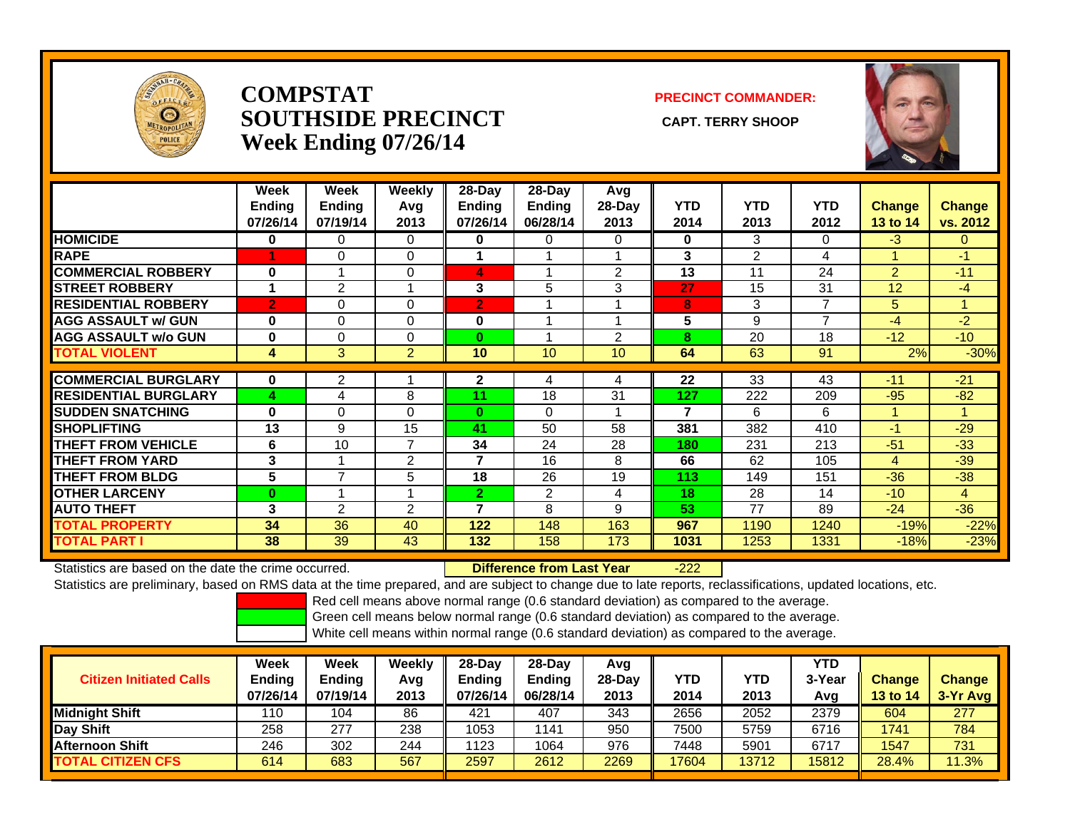

## **COMPSTATSOUTHSIDE PRECINCT** CAPT. TERRY SHOOP **Week Ending 07/26/14**

### **PRECINCT COMMANDER:**



|                             | Week<br><b>Ending</b><br>07/26/14 | Week<br><b>Ending</b><br>07/19/14 | Weekly<br>Avg<br>2013 | 28-Day<br><b>Ending</b><br>07/26/14 | 28-Day<br><b>Ending</b><br>06/28/14 | Avg<br>28-Day<br>2013 | <b>YTD</b><br>2014 | <b>YTD</b><br>2013 | <b>YTD</b><br>2012 | <b>Change</b><br>13 to 14 | <b>Change</b><br>vs. 2012 |
|-----------------------------|-----------------------------------|-----------------------------------|-----------------------|-------------------------------------|-------------------------------------|-----------------------|--------------------|--------------------|--------------------|---------------------------|---------------------------|
| <b>HOMICIDE</b>             | $\bf{0}$                          | $\mathbf{0}$                      | 0                     | $\bf{0}$                            | $\Omega$                            | $\Omega$              | 0                  | 3                  | 0                  | $-3$                      | $\overline{0}$            |
| <b>RAPE</b>                 |                                   | $\Omega$                          | 0                     |                                     |                                     |                       | 3                  | $\overline{2}$     | 4                  |                           | $-1$                      |
| <b>COMMERCIAL ROBBERY</b>   | $\bf{0}$                          |                                   | 0                     | 4                                   |                                     | 2                     | 13                 | 11                 | 24                 | $\overline{2}$            | $-11$                     |
| <b>STREET ROBBERY</b>       | 1                                 | 2                                 |                       | 3                                   | 5                                   | 3                     | 27                 | 15                 | 31                 | 12                        | -4                        |
| <b>RESIDENTIAL ROBBERY</b>  | $\overline{2}$                    | $\Omega$                          | $\Omega$              | $\mathbf{2}$                        |                                     |                       | 8                  | 3                  | 7                  | 5                         |                           |
| <b>AGG ASSAULT w/ GUN</b>   | $\bf{0}$                          | $\Omega$                          | 0                     | $\bf{0}$                            | и                                   |                       | 5                  | 9                  | $\overline{ }$     | $-4$                      | $-2$                      |
| <b>AGG ASSAULT w/o GUN</b>  | $\bf{0}$                          | $\Omega$                          | $\Omega$              | $\bf{0}$                            |                                     | 2                     | 8                  | 20                 | 18                 | $-12$                     | $-10$                     |
| <b>TOTAL VIOLENT</b>        | 4                                 | 3                                 | $\overline{2}$        | 10                                  | 10                                  | 10                    | 64                 | 63                 | 91                 | 2%                        | $-30%$                    |
|                             |                                   |                                   |                       |                                     |                                     |                       |                    |                    |                    |                           |                           |
| <b>COMMERCIAL BURGLARY</b>  | $\bf{0}$                          | 2                                 |                       | $\mathbf{2}$                        | 4                                   | 4                     | 22                 | 33                 | 43                 | $-11$                     | $-21$                     |
| <b>RESIDENTIAL BURGLARY</b> | 4                                 | 4                                 | 8                     | 11                                  | 18                                  | 31                    | 127                | 222                | 209                | $-95$                     | $-82$                     |
| <b>SUDDEN SNATCHING</b>     | $\bf{0}$                          | $\Omega$                          | 0                     | $\bf{0}$                            | $\Omega$                            |                       | 7                  | 6                  | 6                  | и                         |                           |
| <b>SHOPLIFTING</b>          | 13                                | 9                                 | 15                    | 41                                  | 50                                  | 58                    | 381                | 382                | 410                | $-1$                      | $-29$                     |
| <b>THEFT FROM VEHICLE</b>   | 6                                 | 10                                | $\overline{7}$        | 34                                  | 24                                  | 28                    | 180                | 231                | 213                | $-51$                     | $-33$                     |
| <b>THEFT FROM YARD</b>      | 3                                 |                                   | $\overline{2}$        | 7                                   | 16                                  | 8                     | 66                 | 62                 | 105                | 4                         | $-39$                     |
| <b>THEFT FROM BLDG</b>      | 5                                 | 7                                 | 5                     | 18                                  | 26                                  | 19                    | 113                | 149                | 151                | $-36$                     | $-38$                     |
| <b>OTHER LARCENY</b>        | $\bf{0}$                          |                                   |                       | $\overline{2}$                      | 2                                   | 4                     | 18                 | 28                 | 14                 | $-10$                     | 4                         |
| <b>AUTO THEFT</b>           | 3                                 | $\overline{2}$                    | $\overline{2}$        | 7                                   | 8                                   | 9                     | 53                 | 77                 | 89                 | $-24$                     | $-36$                     |
| <b>TOTAL PROPERTY</b>       | 34                                | 36                                | 40                    | 122                                 | 148                                 | 163                   | 967                | 1190               | 1240               | $-19%$                    | $-22%$                    |
| <b>TOTAL PART I</b>         | 38                                | 39                                | 43                    | 132                                 | 158                                 | 173                   | 1031               | 1253               | 1331               | $-18%$                    | $-23%$                    |

Statistics are based on the date the crime occurred. **Difference from Last Year** 

-222

Statistics are preliminary, based on RMS data at the time prepared, and are subject to change due to late reports, reclassifications, updated locations, etc.

Red cell means above normal range (0.6 standard deviation) as compared to the average.

Green cell means below normal range (0.6 standard deviation) as compared to the average.

| <b>Citizen Initiated Calls</b> | Week<br>Ending<br>07/26/14 | Week<br><b>Ending</b><br>07/19/14 | Weekly<br>Avg<br>2013 | $28-Dav$<br>Ending<br>07/26/14 | 28-Dav<br><b>Ending</b><br>06/28/14 | Avg<br>$28-Dav$<br>2013 | YTD<br>2014 | YTD<br>2013 | YTD<br>3-Year<br>Avg | <b>Change</b><br>13 to 14 | <b>Change</b><br>3-Yr Avg |
|--------------------------------|----------------------------|-----------------------------------|-----------------------|--------------------------------|-------------------------------------|-------------------------|-------------|-------------|----------------------|---------------------------|---------------------------|
| <b>Midnight Shift</b>          | 110                        | 104                               | 86                    | 421                            | 407                                 | 343                     | 2656        | 2052        | 2379                 | 604                       | 277                       |
| Day Shift                      | 258                        | 277                               | 238                   | 1053                           | 141                                 | 950                     | 7500        | 5759        | 6716                 | 1741                      | 784                       |
| <b>Afternoon Shift</b>         | 246                        | 302                               | 244                   | 1123                           | 1064                                | 976                     | 7448        | 5901        | 6717                 | 1547                      | 731                       |
| <b>TOTAL CITIZEN CFS</b>       | 614                        | 683                               | 567                   | 2597                           | 2612                                | 2269                    | 17604       | 13712       | 15812                | 28.4%                     | 11.3%                     |